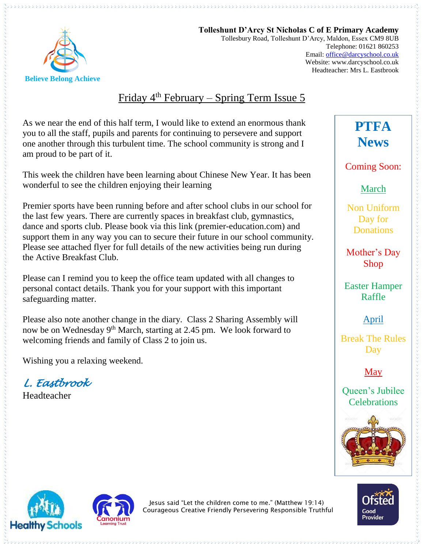

**Tolleshunt D'Arcy St Nicholas C of E Primary Academy** Tollesbury Road, Tolleshunt D'Arcy, Maldon, Essex CM9 8UB Telephone: 01621 860253 Email[: office@darcyschool.co.uk](mailto:office@darcyschool.co.uk) Website: www.darcyschool.co.uk Headteacher: Mrs L. Eastbrook

## Friday 4<sup>th</sup> February – Spring Term Issue 5

As we near the end of this half term, I would like to extend an enormous thank you to all the staff, pupils and parents for continuing to persevere and support one another through this turbulent time. The school community is strong and I am proud to be part of it.

This week the children have been learning about Chinese New Year. It has been wonderful to see the children enjoying their learning

Premier sports have been running before and after school clubs in our school for the last few years. There are currently spaces in breakfast club, gymnastics, dance and sports club. Please book via this link (premier-education.com) and support them in any way you can to secure their future in our school community. Please see attached flyer for full details of the new activities being run during the Active Breakfast Club.

Please can I remind you to keep the office team updated with all changes to personal contact details. Thank you for your support with this important safeguarding matter.

Please also note another change in the diary. Class 2 Sharing Assembly will now be on Wednesday 9th March, starting at 2.45 pm. We look forward to welcoming friends and family of Class 2 to join us.

Wishing you a relaxing weekend.

*L. Eastbrook* 

Headteacher

**PTFA News**

Coming Soon:

March

Non Uniform Day for **Donations** 

Mother's Day Shop

Easter Hamper Raffle

April

Break The Rules Day

May

Queen's Jubilee **Celebrations** 







Jesus said "Let the children come to me." (Matthew 19:14) Courageous Creative Friendly Persevering Responsible Truthful